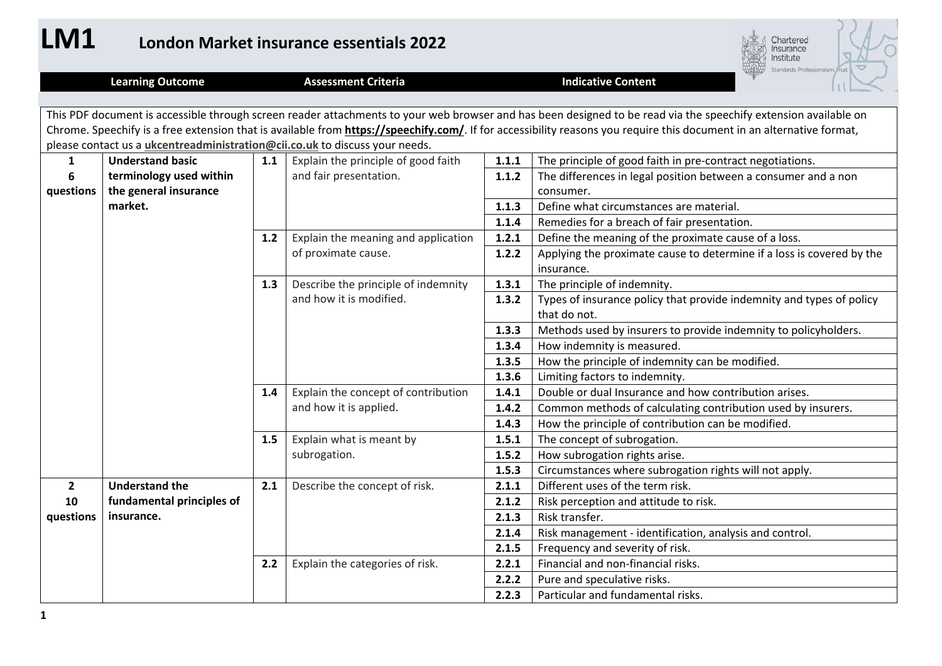| LM1            |                                                  |     | <b>London Market insurance essentials 2022</b>                              |       | Chartered<br>Insurance<br>Institute<br>Standards Professionalism Trust                                                                                                                                                                                                                                                                   |
|----------------|--------------------------------------------------|-----|-----------------------------------------------------------------------------|-------|------------------------------------------------------------------------------------------------------------------------------------------------------------------------------------------------------------------------------------------------------------------------------------------------------------------------------------------|
|                | <b>Learning Outcome</b>                          |     | <b>Assessment Criteria</b>                                                  |       | <b>Indicative Content</b>                                                                                                                                                                                                                                                                                                                |
|                |                                                  |     |                                                                             |       |                                                                                                                                                                                                                                                                                                                                          |
|                |                                                  |     | please contact us a ukcentreadministration@cii.co.uk to discuss your needs. |       | This PDF document is accessible through screen reader attachments to your web browser and has been designed to be read via the speechify extension available on<br>Chrome. Speechify is a free extension that is available from https://speechify.com/. If for accessibility reasons you require this document in an alternative format, |
| $\mathbf{1}$   | <b>Understand basic</b>                          | 1.1 | Explain the principle of good faith                                         | 1.1.1 | The principle of good faith in pre-contract negotiations.                                                                                                                                                                                                                                                                                |
| 6<br>questions | terminology used within<br>the general insurance |     | and fair presentation.                                                      | 1.1.2 | The differences in legal position between a consumer and a non<br>consumer.                                                                                                                                                                                                                                                              |
|                | market.                                          |     |                                                                             | 1.1.3 | Define what circumstances are material.                                                                                                                                                                                                                                                                                                  |
|                |                                                  |     |                                                                             | 1.1.4 | Remedies for a breach of fair presentation.                                                                                                                                                                                                                                                                                              |
|                |                                                  | 1.2 | Explain the meaning and application                                         | 1.2.1 | Define the meaning of the proximate cause of a loss.                                                                                                                                                                                                                                                                                     |
|                |                                                  |     | of proximate cause.                                                         | 1.2.2 | Applying the proximate cause to determine if a loss is covered by the<br>insurance.                                                                                                                                                                                                                                                      |
|                |                                                  | 1.3 | Describe the principle of indemnity                                         | 1.3.1 | The principle of indemnity.                                                                                                                                                                                                                                                                                                              |
|                |                                                  |     | and how it is modified.                                                     | 1.3.2 | Types of insurance policy that provide indemnity and types of policy<br>that do not.                                                                                                                                                                                                                                                     |
|                |                                                  |     |                                                                             | 1.3.3 | Methods used by insurers to provide indemnity to policyholders.                                                                                                                                                                                                                                                                          |
|                |                                                  |     |                                                                             | 1.3.4 | How indemnity is measured.                                                                                                                                                                                                                                                                                                               |
|                |                                                  |     |                                                                             | 1.3.5 | How the principle of indemnity can be modified.                                                                                                                                                                                                                                                                                          |
|                |                                                  |     |                                                                             | 1.3.6 | Limiting factors to indemnity.                                                                                                                                                                                                                                                                                                           |
|                |                                                  | 1.4 | Explain the concept of contribution                                         | 1.4.1 | Double or dual Insurance and how contribution arises.                                                                                                                                                                                                                                                                                    |
|                |                                                  |     | and how it is applied.                                                      | 1.4.2 | Common methods of calculating contribution used by insurers.                                                                                                                                                                                                                                                                             |
|                |                                                  |     |                                                                             | 1.4.3 | How the principle of contribution can be modified.                                                                                                                                                                                                                                                                                       |
|                |                                                  | 1.5 | Explain what is meant by                                                    | 1.5.1 | The concept of subrogation.                                                                                                                                                                                                                                                                                                              |
|                |                                                  |     | subrogation.                                                                | 1.5.2 | How subrogation rights arise.                                                                                                                                                                                                                                                                                                            |
|                |                                                  |     |                                                                             | 1.5.3 | Circumstances where subrogation rights will not apply.                                                                                                                                                                                                                                                                                   |
| $\overline{2}$ | <b>Understand the</b>                            | 2.1 | Describe the concept of risk.                                               | 2.1.1 | Different uses of the term risk.                                                                                                                                                                                                                                                                                                         |
| 10             | fundamental principles of                        |     |                                                                             | 2.1.2 | Risk perception and attitude to risk.                                                                                                                                                                                                                                                                                                    |
| questions      | insurance.                                       |     |                                                                             | 2.1.3 | Risk transfer.                                                                                                                                                                                                                                                                                                                           |
|                |                                                  |     |                                                                             | 2.1.4 | Risk management - identification, analysis and control.                                                                                                                                                                                                                                                                                  |
|                |                                                  |     |                                                                             | 2.1.5 | Frequency and severity of risk.                                                                                                                                                                                                                                                                                                          |
|                |                                                  | 2.2 | Explain the categories of risk.                                             | 2.2.1 | Financial and non-financial risks.                                                                                                                                                                                                                                                                                                       |
|                |                                                  |     |                                                                             | 2.2.2 | Pure and speculative risks.                                                                                                                                                                                                                                                                                                              |
|                |                                                  |     |                                                                             | 2.2.3 | Particular and fundamental risks.                                                                                                                                                                                                                                                                                                        |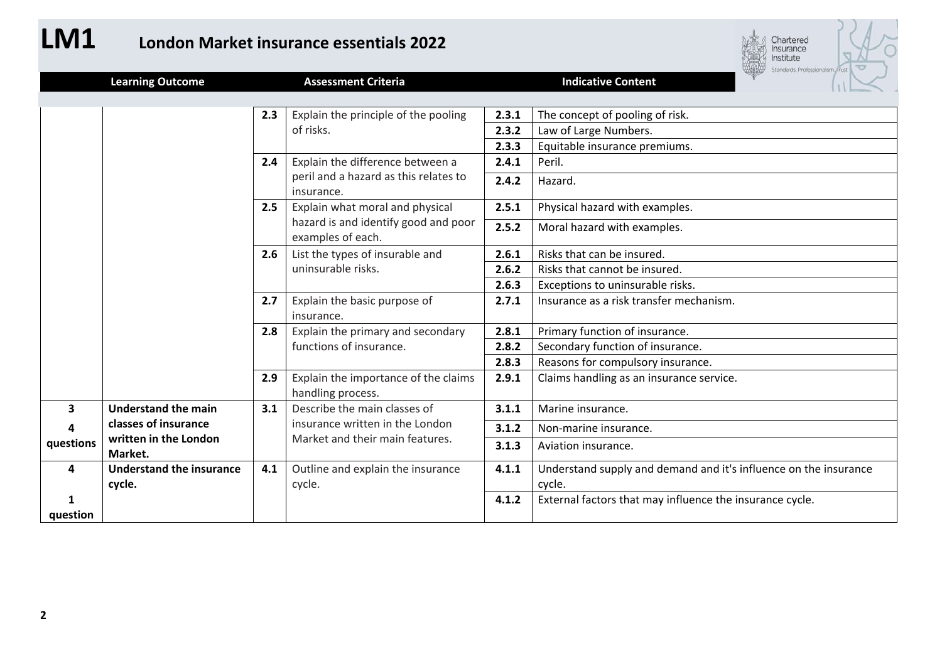| M |  |
|---|--|
|---|--|



|              | <b>Learning Outcome</b>                   |     | <b>Assessment Criteria</b>                                |       | harrow<br>PAINTED MAIL PARK AT LC PASSAGE<br><b>Indicative Content</b>     |
|--------------|-------------------------------------------|-----|-----------------------------------------------------------|-------|----------------------------------------------------------------------------|
|              |                                           |     |                                                           |       |                                                                            |
|              |                                           | 2.3 | Explain the principle of the pooling                      | 2.3.1 | The concept of pooling of risk.                                            |
|              |                                           |     | of risks.                                                 | 2.3.2 | Law of Large Numbers.                                                      |
|              |                                           |     |                                                           | 2.3.3 | Equitable insurance premiums.                                              |
|              |                                           | 2.4 | Explain the difference between a                          | 2.4.1 | Peril.                                                                     |
|              |                                           |     | peril and a hazard as this relates to<br>insurance.       | 2.4.2 | Hazard.                                                                    |
|              |                                           | 2.5 | Explain what moral and physical                           | 2.5.1 | Physical hazard with examples.                                             |
|              |                                           |     | hazard is and identify good and poor<br>examples of each. | 2.5.2 | Moral hazard with examples.                                                |
|              |                                           | 2.6 | List the types of insurable and                           | 2.6.1 | Risks that can be insured.                                                 |
|              |                                           |     | uninsurable risks.                                        | 2.6.2 | Risks that cannot be insured.                                              |
|              |                                           |     |                                                           | 2.6.3 | Exceptions to uninsurable risks.                                           |
|              |                                           | 2.7 | Explain the basic purpose of<br>insurance.                | 2.7.1 | Insurance as a risk transfer mechanism.                                    |
|              |                                           | 2.8 | Explain the primary and secondary                         | 2.8.1 | Primary function of insurance.                                             |
|              |                                           |     | functions of insurance.                                   | 2.8.2 | Secondary function of insurance.                                           |
|              |                                           |     |                                                           | 2.8.3 | Reasons for compulsory insurance.                                          |
|              |                                           | 2.9 | Explain the importance of the claims<br>handling process. | 2.9.1 | Claims handling as an insurance service.                                   |
| $\mathbf{3}$ | <b>Understand the main</b>                | 3.1 | Describe the main classes of                              | 3.1.1 | Marine insurance.                                                          |
| 4            | classes of insurance                      |     | insurance written in the London                           | 3.1.2 | Non-marine insurance.                                                      |
| questions    | written in the London<br>Market.          |     | Market and their main features.                           | 3.1.3 | Aviation insurance.                                                        |
| 4            | <b>Understand the insurance</b><br>cycle. | 4.1 | Outline and explain the insurance<br>cycle.               | 4.1.1 | Understand supply and demand and it's influence on the insurance<br>cycle. |
| 1            |                                           |     |                                                           | 4.1.2 | External factors that may influence the insurance cycle.                   |
| question     |                                           |     |                                                           |       |                                                                            |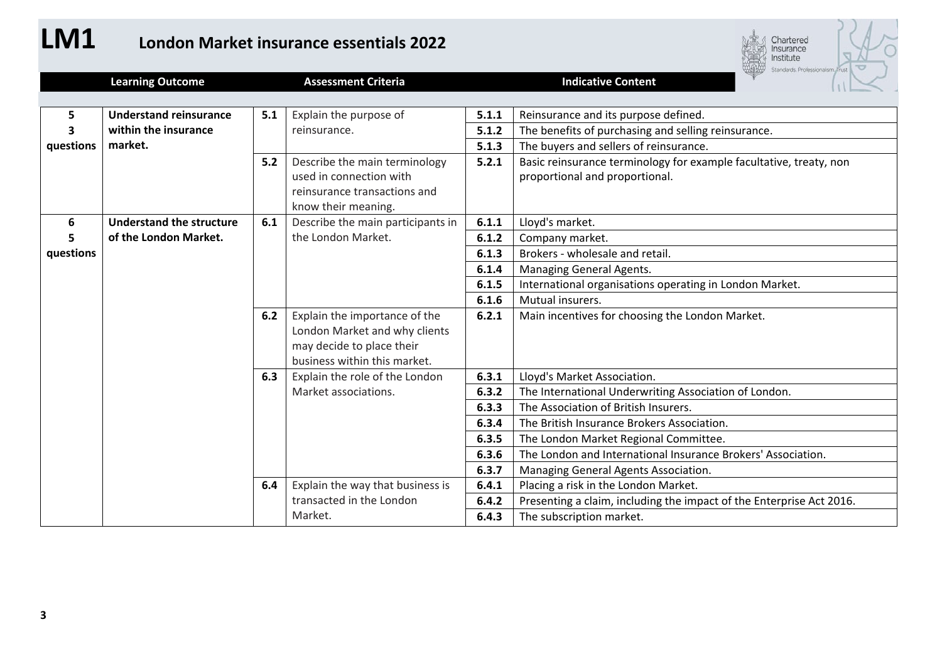

|           | <b>Learning Outcome</b>         |     | <b>Assessment Criteria</b>        |       | <b>Indicative Content</b>                                            |
|-----------|---------------------------------|-----|-----------------------------------|-------|----------------------------------------------------------------------|
|           |                                 |     |                                   |       |                                                                      |
| 5         | <b>Understand reinsurance</b>   | 5.1 | Explain the purpose of            | 5.1.1 | Reinsurance and its purpose defined.                                 |
|           | within the insurance            |     | reinsurance.                      | 5.1.2 | The benefits of purchasing and selling reinsurance.                  |
| questions | market.                         |     |                                   | 5.1.3 | The buyers and sellers of reinsurance.                               |
|           |                                 | 5.2 | Describe the main terminology     | 5.2.1 | Basic reinsurance terminology for example facultative, treaty, non   |
|           |                                 |     | used in connection with           |       | proportional and proportional.                                       |
|           |                                 |     | reinsurance transactions and      |       |                                                                      |
|           |                                 |     | know their meaning.               |       |                                                                      |
| 6         | <b>Understand the structure</b> | 6.1 | Describe the main participants in | 6.1.1 | Lloyd's market.                                                      |
|           | of the London Market.           |     | the London Market.                | 6.1.2 | Company market.                                                      |
| questions |                                 |     |                                   | 6.1.3 | Brokers - wholesale and retail.                                      |
|           |                                 |     |                                   | 6.1.4 | Managing General Agents.                                             |
|           |                                 |     |                                   | 6.1.5 | International organisations operating in London Market.              |
|           |                                 |     |                                   | 6.1.6 | Mutual insurers.                                                     |
|           |                                 | 6.2 | Explain the importance of the     | 6.2.1 | Main incentives for choosing the London Market.                      |
|           |                                 |     | London Market and why clients     |       |                                                                      |
|           |                                 |     | may decide to place their         |       |                                                                      |
|           |                                 |     | business within this market.      |       |                                                                      |
|           |                                 | 6.3 | Explain the role of the London    | 6.3.1 | Lloyd's Market Association.                                          |
|           |                                 |     | Market associations.              | 6.3.2 | The International Underwriting Association of London.                |
|           |                                 |     |                                   | 6.3.3 | The Association of British Insurers.                                 |
|           |                                 |     |                                   | 6.3.4 | The British Insurance Brokers Association.                           |
|           |                                 |     |                                   | 6.3.5 | The London Market Regional Committee.                                |
|           |                                 |     |                                   | 6.3.6 | The London and International Insurance Brokers' Association.         |
|           |                                 |     |                                   | 6.3.7 | Managing General Agents Association.                                 |
|           |                                 | 6.4 | Explain the way that business is  | 6.4.1 | Placing a risk in the London Market.                                 |
|           |                                 |     | transacted in the London          | 6.4.2 | Presenting a claim, including the impact of the Enterprise Act 2016. |
|           |                                 |     | Market.                           | 6.4.3 | The subscription market.                                             |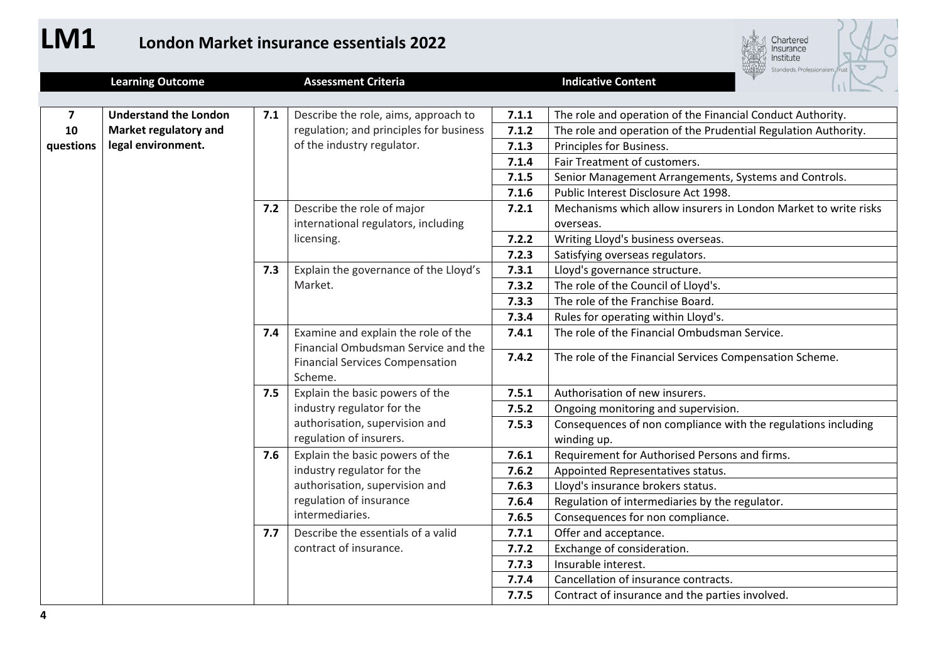## **LM1 London Market insurance essentials <sup>202</sup><sup>2</sup>**



|                  | <b>Learning Outcome</b>      |     | <b>Assessment Criteria</b>                                    |                                   | <b>ATALLA Stationards Professionalist</b><br><b>Indicative Content</b> |  |
|------------------|------------------------------|-----|---------------------------------------------------------------|-----------------------------------|------------------------------------------------------------------------|--|
|                  |                              |     |                                                               |                                   |                                                                        |  |
| $\boldsymbol{7}$ | <b>Understand the London</b> | 7.1 | Describe the role, aims, approach to                          | 7.1.1                             | The role and operation of the Financial Conduct Authority.             |  |
| 10               | Market regulatory and        |     | regulation; and principles for business                       | 7.1.2                             | The role and operation of the Prudential Regulation Authority.         |  |
| questions        | legal environment.           |     | of the industry regulator.                                    | 7.1.3<br>Principles for Business. |                                                                        |  |
|                  |                              |     |                                                               | 7.1.4                             | Fair Treatment of customers.                                           |  |
|                  |                              |     |                                                               | 7.1.5                             | Senior Management Arrangements, Systems and Controls.                  |  |
|                  |                              |     |                                                               | 7.1.6                             | Public Interest Disclosure Act 1998.                                   |  |
|                  |                              | 7.2 | Describe the role of major                                    | 7.2.1                             | Mechanisms which allow insurers in London Market to write risks        |  |
|                  |                              |     | international regulators, including                           |                                   | overseas.                                                              |  |
|                  |                              |     | licensing.                                                    | 7.2.2                             | Writing Lloyd's business overseas.                                     |  |
|                  |                              |     |                                                               | 7.2.3                             | Satisfying overseas regulators.                                        |  |
|                  |                              | 7.3 | Explain the governance of the Lloyd's                         | 7.3.1                             | Lloyd's governance structure.                                          |  |
|                  |                              |     | Market.                                                       | 7.3.2                             | The role of the Council of Lloyd's.                                    |  |
|                  |                              |     |                                                               | 7.3.3                             | The role of the Franchise Board.                                       |  |
|                  |                              |     |                                                               | 7.3.4                             | Rules for operating within Lloyd's.                                    |  |
|                  |                              | 7.4 | Examine and explain the role of the                           | 7.4.1                             | The role of the Financial Ombudsman Service.                           |  |
|                  |                              |     | Financial Ombudsman Service and the                           | 7.4.2                             | The role of the Financial Services Compensation Scheme.                |  |
|                  |                              |     | <b>Financial Services Compensation</b>                        |                                   |                                                                        |  |
|                  |                              |     | Scheme.                                                       |                                   |                                                                        |  |
|                  |                              | 7.5 | Explain the basic powers of the                               | 7.5.1                             | Authorisation of new insurers.                                         |  |
|                  |                              |     | industry regulator for the                                    | 7.5.2                             | Ongoing monitoring and supervision.                                    |  |
|                  |                              |     | authorisation, supervision and                                | 7.5.3                             | Consequences of non compliance with the regulations including          |  |
|                  |                              |     | regulation of insurers.                                       |                                   | winding up.                                                            |  |
|                  |                              | 7.6 | Explain the basic powers of the<br>industry regulator for the | 7.6.1<br>7.6.2                    | Requirement for Authorised Persons and firms.                          |  |
|                  |                              |     | authorisation, supervision and                                | 7.6.3                             | Appointed Representatives status.<br>Lloyd's insurance brokers status. |  |
|                  |                              |     | regulation of insurance                                       | 7.6.4                             | Regulation of intermediaries by the regulator.                         |  |
|                  |                              |     | intermediaries.                                               | 7.6.5                             | Consequences for non compliance.                                       |  |
|                  |                              | 7.7 | Describe the essentials of a valid                            | 7.7.1                             | Offer and acceptance.                                                  |  |
|                  |                              |     | contract of insurance.                                        | 7.7.2                             | Exchange of consideration.                                             |  |
|                  |                              |     |                                                               | 7.7.3                             | Insurable interest.                                                    |  |
|                  |                              |     |                                                               | 7.7.4                             | Cancellation of insurance contracts.                                   |  |
|                  |                              |     |                                                               | 7.7.5                             | Contract of insurance and the parties involved.                        |  |
|                  |                              |     |                                                               |                                   |                                                                        |  |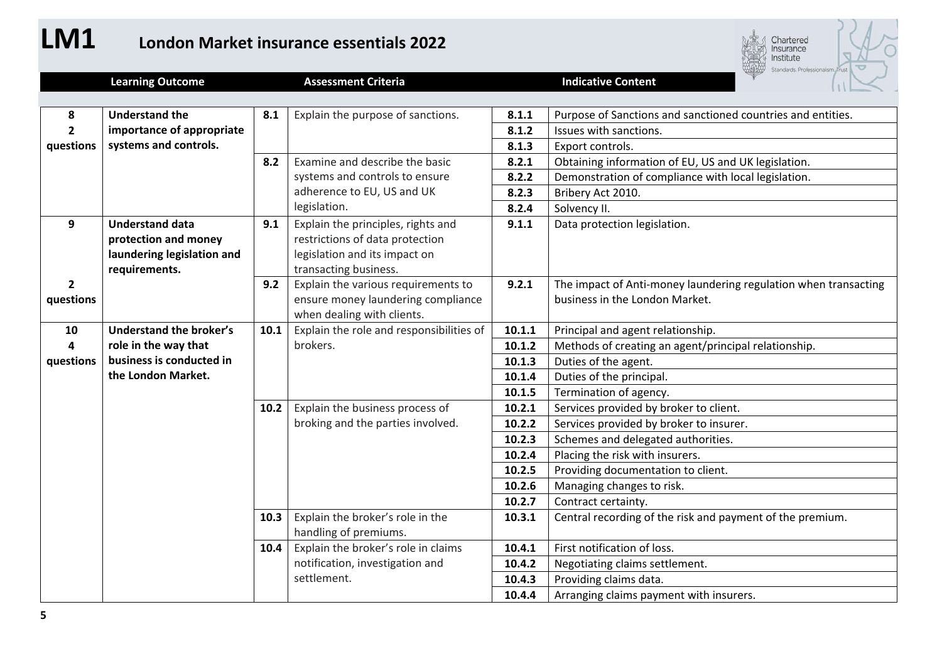

|                | <b>Learning Outcome</b>        |      | <b>Assessment Criteria</b>               |        | <b>Indicative Content</b>                                       |  |  |
|----------------|--------------------------------|------|------------------------------------------|--------|-----------------------------------------------------------------|--|--|
|                |                                |      |                                          |        |                                                                 |  |  |
| 8              | <b>Understand the</b>          | 8.1  | Explain the purpose of sanctions.        | 8.1.1  | Purpose of Sanctions and sanctioned countries and entities.     |  |  |
| $\overline{2}$ | importance of appropriate      |      |                                          | 8.1.2  | Issues with sanctions.                                          |  |  |
| questions      | systems and controls.          |      |                                          | 8.1.3  | Export controls.                                                |  |  |
|                |                                | 8.2  | Examine and describe the basic           | 8.2.1  | Obtaining information of EU, US and UK legislation.             |  |  |
|                |                                |      | systems and controls to ensure           | 8.2.2  | Demonstration of compliance with local legislation.             |  |  |
|                |                                |      | adherence to EU, US and UK               | 8.2.3  | Bribery Act 2010.                                               |  |  |
|                |                                |      | legislation.                             | 8.2.4  | Solvency II.                                                    |  |  |
| 9              | <b>Understand data</b>         | 9.1  | Explain the principles, rights and       | 9.1.1  | Data protection legislation.                                    |  |  |
|                | protection and money           |      | restrictions of data protection          |        |                                                                 |  |  |
|                | laundering legislation and     |      | legislation and its impact on            |        |                                                                 |  |  |
|                | requirements.                  |      | transacting business.                    |        |                                                                 |  |  |
| $\overline{2}$ |                                | 9.2  | Explain the various requirements to      | 9.2.1  | The impact of Anti-money laundering regulation when transacting |  |  |
| questions      |                                |      | ensure money laundering compliance       |        | business in the London Market.                                  |  |  |
|                |                                |      | when dealing with clients.               |        |                                                                 |  |  |
| 10             | <b>Understand the broker's</b> | 10.1 | Explain the role and responsibilities of | 10.1.1 | Principal and agent relationship.                               |  |  |
| 4              | role in the way that           |      | brokers.                                 | 10.1.2 | Methods of creating an agent/principal relationship.            |  |  |
| questions      | business is conducted in       |      |                                          | 10.1.3 | Duties of the agent.                                            |  |  |
|                | the London Market.             |      |                                          | 10.1.4 | Duties of the principal.                                        |  |  |
|                |                                |      |                                          | 10.1.5 | Termination of agency.                                          |  |  |
|                |                                | 10.2 | Explain the business process of          | 10.2.1 | Services provided by broker to client.                          |  |  |
|                |                                |      | broking and the parties involved.        | 10.2.2 | Services provided by broker to insurer.                         |  |  |
|                |                                |      |                                          | 10.2.3 | Schemes and delegated authorities.                              |  |  |
|                |                                |      |                                          | 10.2.4 | Placing the risk with insurers.                                 |  |  |
|                |                                |      |                                          | 10.2.5 | Providing documentation to client.                              |  |  |
|                |                                |      |                                          | 10.2.6 | Managing changes to risk.                                       |  |  |
|                |                                |      |                                          | 10.2.7 | Contract certainty.                                             |  |  |
|                |                                | 10.3 | Explain the broker's role in the         | 10.3.1 | Central recording of the risk and payment of the premium.       |  |  |
|                |                                |      | handling of premiums.                    |        |                                                                 |  |  |
|                |                                | 10.4 | Explain the broker's role in claims      | 10.4.1 | First notification of loss.                                     |  |  |
|                |                                |      | notification, investigation and          | 10.4.2 | Negotiating claims settlement.                                  |  |  |
|                |                                |      | settlement.                              | 10.4.3 | Providing claims data.                                          |  |  |
|                |                                |      |                                          | 10.4.4 | Arranging claims payment with insurers.                         |  |  |